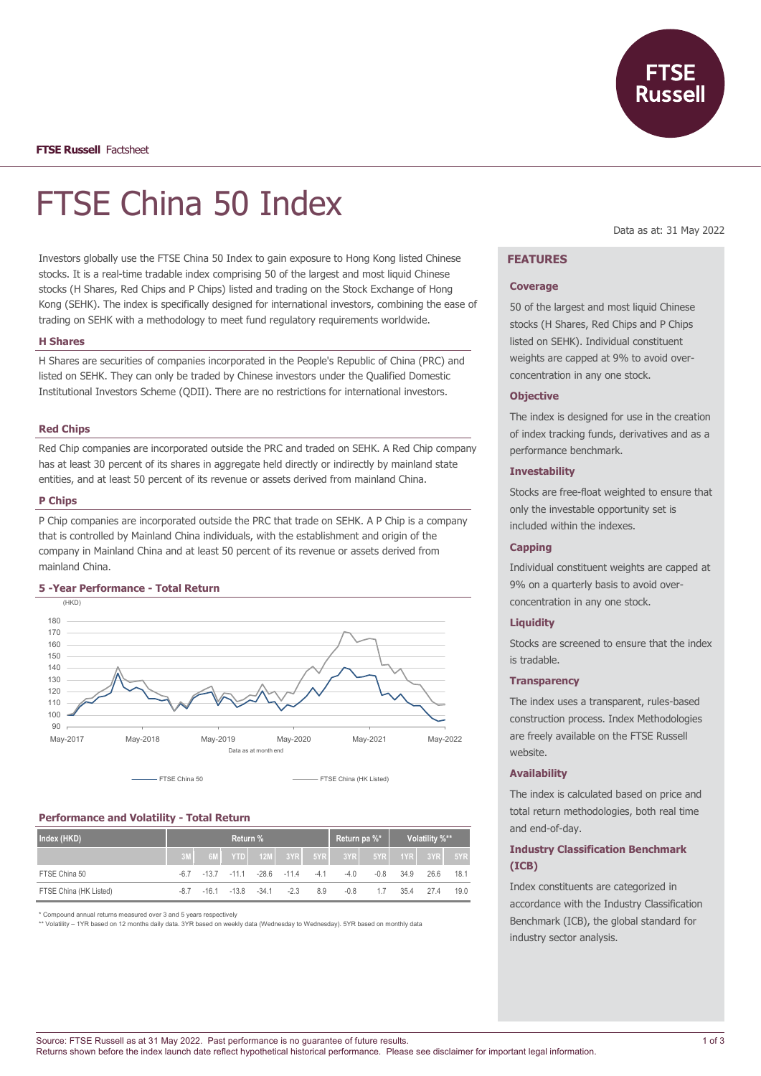**FTSE Russell** Factsheet

# FTSE China 50 Index

Investors globally use the FTSE China 50 Index to gain exposure to Hong Kong listed Chinese stocks. It is a real-time tradable index comprising 50 of the largest and most liquid Chinese stocks (H Shares, Red Chips and P Chips) listed and trading on the Stock Exchange of Hong Kong (SEHK). The index is specifically designed for international investors, combining the ease of trading on SEHK with a methodology to meet fund regulatory requirements worldwide.

#### **H Shares**

H Shares are securities of companies incorporated in the People's Republic of China (PRC) and listed on SEHK. They can only be traded by Chinese investors under the Qualified Domestic Institutional Investors Scheme (QDII). There are no restrictions for international investors.

#### **Red Chips**

Red Chip companies are incorporated outside the PRC and traded on SEHK. A Red Chip company has at least 30 percent of its shares in aggregate held directly or indirectly by mainland state entities, and at least 50 percent of its revenue or assets derived from mainland China.

#### **P Chips**

P Chip companies are incorporated outside the PRC that trade on SEHK. A P Chip is a company that is controlled by Mainland China individuals, with the establishment and origin of the company in Mainland China and at least 50 percent of its revenue or assets derived from mainland China.

## **5 -Year Performance - Total Return**



# **Performance and Volatility - Total Return**

| Index (HKD)            | Return % |                                   |  |  |  |     |                                            | Return pa $\frac{1}{6}$ Volatility $\frac{1}{6}$ X <sup>**</sup> |                  |  |      |
|------------------------|----------|-----------------------------------|--|--|--|-----|--------------------------------------------|------------------------------------------------------------------|------------------|--|------|
|                        |          |                                   |  |  |  |     | 6M YTD 12M 3YR 5YR 3YR 5YR 5YR 1YR 3YR 5YR |                                                                  |                  |  |      |
| FTSE China 50          |          | -6.7 -13.7 -11.1 -28.6 -11.4 -4.1 |  |  |  |     | $-4.0$                                     |                                                                  | $-0.8$ 34.9 26.6 |  | 18.1 |
| FTSE China (HK Listed) | -8.7     | -16.1 -13.8 -34.1 -2.3            |  |  |  | 8.9 | $-0.8$                                     | 1.7                                                              | 35.4 27.4        |  | 19.0 |

\* Compound annual returns measured over 3 and 5 years respectively

\*\* Volatility – 1YR based on 12 months daily data. 3YR based on weekly data (Wednesday to Wednesday). 5YR based on monthly data

Data as at: 31 May 2022

# **FEATURES**

#### **Coverage**

50 of the largest and most liquid Chinese stocks (H Shares, Red Chips and P Chips listed on SEHK). Individual constituent weights are capped at 9% to avoid overconcentration in any one stock.

#### **Objective**

The index is designed for use in the creation of index tracking funds, derivatives and as a performance benchmark.

# **Investability**

Stocks are free-float weighted to ensure that only the investable opportunity set is included within the indexes.

#### **Capping**

Individual constituent weights are capped at 9% on a quarterly basis to avoid overconcentration in any one stock.

## **Liquidity**

Stocks are screened to ensure that the index is tradable.

### **Transparency**

The index uses a transparent, rules-based construction process. Index Methodologies are freely available on the FTSE Russell website.

## **Availability**

The index is calculated based on price and total return methodologies, both real time and end-of-day.

# **Industry Classification Benchmark (ICB)**

Index constituents are categorized in accordance with the Industry Classification Benchmark (ICB), the global standard for industry sector analysis.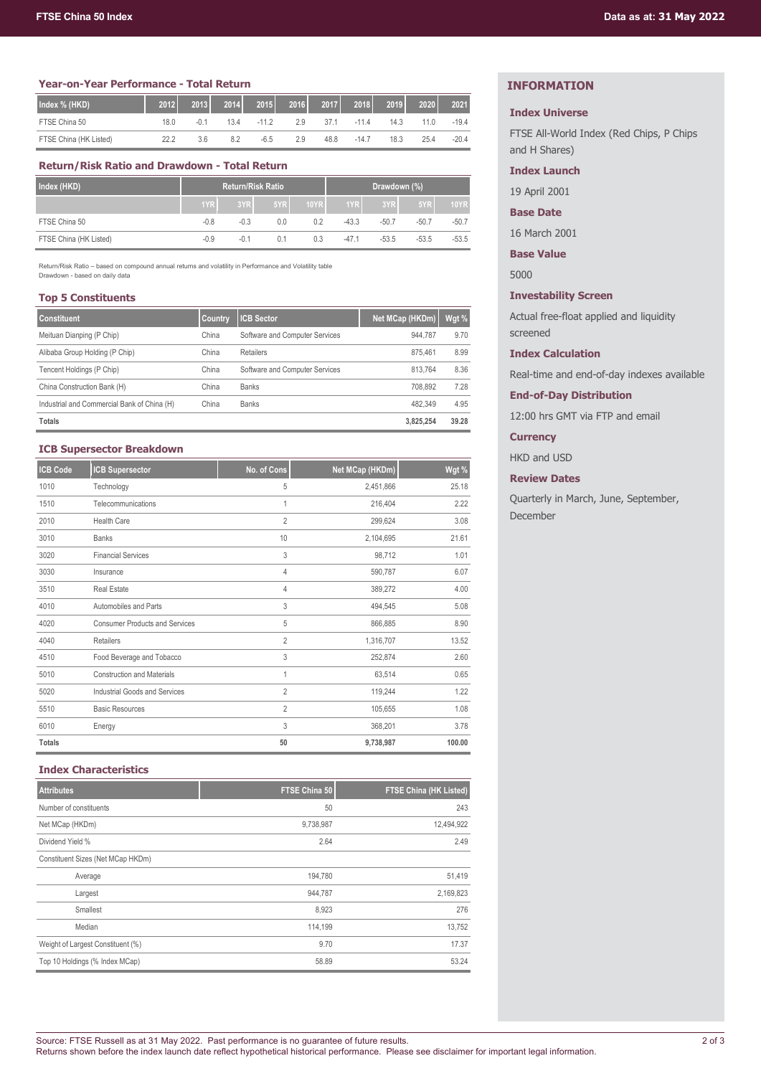#### **Year-on-Year Performance - Total Return**

| Index % (HKD)          | 2012 | 2013   | 2014 | 2015    | 2016 | 2017 | 2018    | 2019 | 2020 | 2021    |
|------------------------|------|--------|------|---------|------|------|---------|------|------|---------|
| FTSE China 50          | 18.0 | $-0.1$ | 13.4 | $-11.2$ | 2.9  | 37.1 | $-11.4$ | 14.3 | 11.0 | $-19.4$ |
| FTSE China (HK Listed) | 22.2 | 3.6    | 8.2  | $-6.5$  | 2.9  | 48.8 | $-14.7$ | 18.3 | 25.4 | $-20.4$ |

# **Return/Risk Ratio and Drawdown - Total Return**

| Index (HKD)            | <b>Return/Risk Ratio</b> |        |     |      | Drawdown (%) |         |         |             |
|------------------------|--------------------------|--------|-----|------|--------------|---------|---------|-------------|
|                        | 1YR                      | 3YRL   | 5YR | 10YR | 1YR          | 3YRI    | 5YR     | <b>10YR</b> |
| FTSE China 50          | $-0.8$                   | $-0.3$ | 0.0 | 0.2  | $-43.3$      | $-50.7$ | $-50.7$ | $-50.7$     |
| FTSE China (HK Listed) | $-0.9$                   | $-0.1$ | 0.1 | 0.3  | $-47.1$      | $-53.5$ | $-53.5$ | $-53.5$     |

Return/Risk Ratio – based on compound annual returns and volatility in Performance and Volatility table Drawdown - based on daily data

## **Top 5 Constituents**

| <b>Constituent</b>                          | <b>Country</b> | <b>ICB Sector</b>              | Net MCap (HKDm) | Wgt % |
|---------------------------------------------|----------------|--------------------------------|-----------------|-------|
| Meituan Dianping (P Chip)                   | China          | Software and Computer Services | 944.787         | 9.70  |
| Alibaba Group Holding (P Chip)              | China          | Retailers                      | 875.461         | 8.99  |
| Tencent Holdings (P Chip)                   | China          | Software and Computer Services | 813.764         | 8.36  |
| China Construction Bank (H)                 | China          | <b>Banks</b>                   | 708.892         | 7.28  |
| Industrial and Commercial Bank of China (H) | China          | <b>Banks</b>                   | 482.349         | 4.95  |
| <b>Totals</b>                               |                |                                | 3.825.254       | 39.28 |

## **ICB Supersector Breakdown**

| <b>ICB Code</b> | <b>ICB Supersector</b>                | No. of Cons    | Net MCap (HKDm) | Wgt %  |
|-----------------|---------------------------------------|----------------|-----------------|--------|
| 1010            | Technology                            | 5              | 2,451,866       | 25.18  |
| 1510            | Telecommunications                    |                | 216,404         | 2.22   |
| 2010            | <b>Health Care</b>                    | $\overline{2}$ | 299,624         | 3.08   |
| 3010            | <b>Banks</b>                          | 10             | 2,104,695       | 21.61  |
| 3020            | <b>Financial Services</b>             | 3              | 98,712          | 1.01   |
| 3030            | Insurance                             | 4              | 590,787         | 6.07   |
| 3510            | <b>Real Estate</b>                    | 4              | 389,272         | 4.00   |
| 4010            | Automobiles and Parts                 | 3              | 494,545         | 5.08   |
| 4020            | <b>Consumer Products and Services</b> | 5              | 866,885         | 8.90   |
| 4040            | Retailers                             | $\overline{2}$ | 1,316,707       | 13.52  |
| 4510            | Food Beverage and Tobacco             | 3              | 252,874         | 2.60   |
| 5010            | <b>Construction and Materials</b>     |                | 63,514          | 0.65   |
| 5020            | <b>Industrial Goods and Services</b>  | $\overline{2}$ | 119,244         | 1.22   |
| 5510            | <b>Basic Resources</b>                | 2              | 105,655         | 1.08   |
| 6010            | Energy                                | 3              | 368,201         | 3.78   |
| <b>Totals</b>   |                                       | 50             | 9,738,987       | 100.00 |

# **Index Characteristics**

| <b>Attributes</b>                 | FTSE China 50 | <b>FTSE China (HK Listed)</b> |
|-----------------------------------|---------------|-------------------------------|
| Number of constituents            | 50            | 243                           |
| Net MCap (HKDm)                   | 9,738,987     | 12,494,922                    |
| Dividend Yield %                  | 2.64          | 2.49                          |
| Constituent Sizes (Net MCap HKDm) |               |                               |
| Average                           | 194,780       | 51,419                        |
| Largest                           | 944,787       | 2,169,823                     |
| Smallest                          | 8,923         | 276                           |
| Median                            | 114,199       | 13,752                        |
| Weight of Largest Constituent (%) | 9.70          | 17.37                         |
| Top 10 Holdings (% Index MCap)    | 58.89         | 53.24                         |

# **INFORMATION**

## **Index Universe**

FTSE All-World Index (Red Chips, P Chips and H Shares)

# **Index Launch**

19 April 2001

# **Base Date**

16 March 2001

**Base Value**

5000

## **Investability Screen**

Actual free-float applied and liquidity screened

## **Index Calculation**

Real-time and end-of-day indexes available

**End-of-Day Distribution**

12:00 hrs GMT via FTP and email

## **Currency**

HKD and USD

## **Review Dates**

Quarterly in March, June, September, December